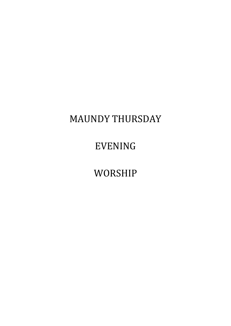# MAUNDY THURSDAY

# EVENING

WORSHIP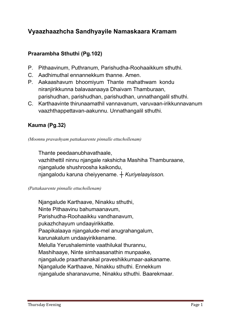# Vyaazhaazhcha Sandhyayile Namaskaara Kramam

# Praarambha Sthuthi (Pg.102)

- **P. Pithaavinum, Puthranum, Parishudha-Roohaaikkum sthuthi.**
- **C. Aadhimuthal ennannekkum thanne. Amen.**
- **P. Aakaashavum bhoomiyum Thante mahathwam kondu niranjirikkunna balavaanaaya Dhaivam Thamburaan, parishudhan, parishudhan, parishudhan, unnathangalil sthuthi.**
- **C. Karthaavinte thirunaamathil vannavanum, varuvaan-irikkunnavanum vaazhthappettavan-aakunnu. Unnathangalil sthuthi.**

# Kauma (Pg.32)

*(Moonnu pravashyam pattakaarente pinnalle ettuchollenam)*

**Thante peedaanubhavathaale, vazhithettil ninnu njangale rakshicha Mashiha Thamburaane, njangalude shushroosha kaikondu, njangalodu karuna cheiyyename.** *┼ Kuriyelaayisson.*

#### *(Pattakaarente pinnalle ettuchollenam)*

**Njangalude Karthaave, Ninakku sthuthi, Ninte Pithaavinu bahumaanavum, Parishudha-Roohaaikku vandhanavum, pukazhchayum undaayirikkatte. Paapikalaaya njangalude-mel anugrahangalum, karunakalum undaayirikkename. Melulla Yerushaleminte vaathilukal thurannu, Mashihaaye, Ninte simhaasanathin munpaake, njangalude praarthanakal praveshikkumaar-aakaname. Njangalude Karthaave, Ninakku sthuthi. Ennekkum njangalude sharanavume, Ninakku sthuthi. Baarekmaar.**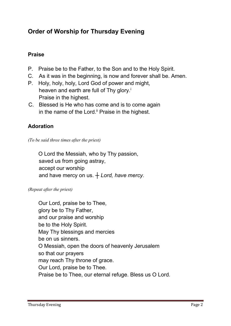# Order of Worship for Thursday Evening

# Praise

- **P. Praise be to the Father, to the Son and to the Holy Spirit.**
- **C. As it was in the beginning, is now and forever shall be. Amen.**
- **P. Holy, holy, holy, Lord God of power and might, heaven and earth are full of Thy glory.i Praise in the highest.**
- **C. Blessed is He who has come and is to come again**  in the name of the Lord.<sup>ii</sup> Praise in the highest.

# Adoration

*(To be said three times after the priest)*

 **O Lord the Messiah, who by Thy passion, saved us from going astray, accept our worship and have mercy on us.** *┼ Lord, have mercy.*

*(Repeat after the priest)*

**Our Lord, praise be to Thee, glory be to Thy Father, and our praise and worship be to the Holy Spirit. May Thy blessings and mercies be on us sinners. O Messiah, open the doors of heavenly Jerusalem so that our prayers may reach Thy throne of grace. Our Lord, praise be to Thee. Praise be to Thee, our eternal refuge. Bless us O Lord.**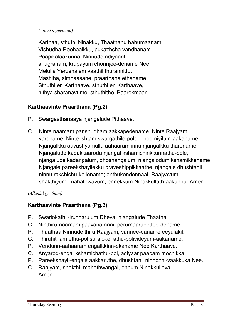## *(Allenkil geetham)*

**Karthaa, sthuthi Ninakku, Thaathanu bahumaanam, Vishudha-Roohaaikku, pukazhcha vandhanam. Paapikalaakunna, Ninnude adiyaaril anugraham, krupayum chorinjee-dename Nee. Melulla Yerushalem vaathil thurannittu, Mashiha, simhaasane, praarthana ethaname. Sthuthi en Karthaave, sthuthi en Karthaave, nithya sharanavume, sthuthithe. Baarekmaar.**

# Karthaavinte Praarthana (Pg.2)

- **P. Swargasthanaaya njangalude Pithaave,**
- **C. Ninte naamam parishudham aakkapedename. Ninte Raajyam varename; Ninte ishtam swargathile-pole, bhoomiyilum-aakaname. Njangalkku aavashyamulla aahaaram innu njangalkku tharename. Njangalude kadakkaarodu njangal kshamichirikkunnathu-pole, njangalude kadangalum, dhoshangalum, njangalodum kshamikkename. Njangale pareekshayilekku praveshippikkaathe, njangale dhushtanil ninnu rakshichu-kollename; enthukondennaal, Raajyavum, shakthiyum, mahathwavum, ennekkum Ninakkullath-aakunnu. Amen.**

## *(Allenkil geetham)*

## Karthaavinte Praarthana (Pg.3)

- **P. Swarlokathil-irunnarulum Dheva, njangalude Thaatha,**
- **C. Ninthiru-naamam paavanamaai, perumaarapettee-dename.**
- **P. Thaathaa Ninnude thiru Raajyam, vannee-daname eeyulakil.**
- **C. Thiruhitham ethu-pol suraloke, athu-polivideyum-aakaname.**
- **P. Vendunn-aahaaram engalkkinn-ekaname Nee Karthaave.**
- **C. Anyarod-engal kshamichathu-pol, adiyaar paapam mochikka.**
- **P. Pareekshayil-engale aakkaruthe, dhushtanil ninnozhi-vaakkuka Nee.**
- **C. Raajyam, shakthi, mahathwangal, ennum Ninakkullava. Amen.**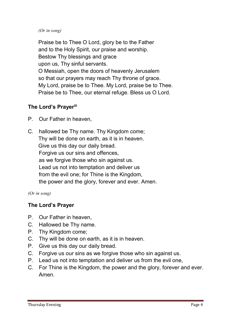## *(Or in song)*

**Praise be to Thee O Lord, glory be to the Father and to the Holy Spirit, our praise and worship. Bestow Thy blessings and grace upon us, Thy sinful servants. O Messiah, open the doors of heavenly Jerusalem so that our prayers may reach Thy throne of grace. My Lord, praise be to Thee. My Lord, praise be to Thee. Praise be to Thee, our eternal refuge. Bless us O Lord.**

## The Lord's Prayerili

- **P. Our Father in heaven,**
- **C. hallowed be Thy name. Thy Kingdom come; Thy will be done on earth, as it is in heaven. Give us this day our daily bread. Forgive us our sins and offences, as we forgive those who sin against us. Lead us not into temptation and deliver us from the evil one; for Thine is the Kingdom, the power and the glory, forever and ever. Amen.**

*(Or in song)*

# The Lord's Prayer

- **P. Our Father in heaven,**
- **C. Hallowed be Thy name.**
- **P. Thy Kingdom come;**
- **C. Thy will be done on earth, as it is in heaven.**
- **P. Give us this day our daily bread.**
- **C. Forgive us our sins as we forgive those who sin against us.**
- **P. Lead us not into temptation and deliver us from the evil one,**
- **C. For Thine is the Kingdom, the power and the glory, forever and ever. Amen.**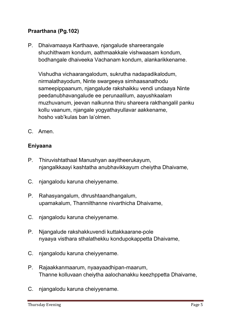# Praarthana (Pg.102)

**P. Dhaivamaaya Karthaave, njangalude shareerangale shuchithwam kondum, aathmaakkale vishwaasam kondum, bodhangale dhaiveeka Vachanam kondum, alankarikkename.** 

 **Vishudha vichaarangalodum, sukrutha nadapadikalodum, nirmalathayodum, Ninte swargeeya simhaasanathodu sameepippaanum, njangalude rakshaikku vendi undaaya Ninte peedanubhavangalude ee perunaalilum, aayushkaalam muzhuvanum, jeevan nalkunna thiru shareera rakthangalil panku kollu vaanum, njangale yogyathayullavar aakkename, hosho vab'kulas ban la'olmen.**

**C. Amen.** 

## Eniyaana

- **P. Thiruvishtathaal Manushyan aayitheerukayum, njangalkkaayi kashtatha anubhavikkayum cheiytha Dhaivame,**
- **C. njangalodu karuna cheiyyename.**
- **P. Rahasyangalum, dhrushtaandhangalum, upamakalum, Thannilthanne nivarthicha Dhaivame,**
- **C. njangalodu karuna cheiyyename.**
- **P. Njangalude rakshakkuvendi kuttakkaarane-pole nyaaya visthara sthalathekku kondupokappetta Dhaivame,**
- **C. njangalodu karuna cheiyyename.**
- **P. Rajaakkanmaarum, nyaayaadhipan-maarum, Thanne kolluvaan cheiytha aalochanakku keezhppetta Dhaivame,**
- **C. njangalodu karuna cheiyyename.**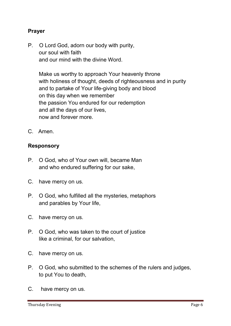## Prayer

**P. O Lord God, adorn our body with purity, our soul with faith and our mind with the divine Word.**

**Make us worthy to approach Your heavenly throne with holiness of thought, deeds of righteousness and in purity and to partake of Your life-giving body and blood on this day when we remember the passion You endured for our redemption and all the days of our lives, now and forever more.** 

**C. Amen.** 

## Responsory

- **P. O God, who of Your own will, became Man and who endured suffering for our sake,**
- **C. have mercy on us.**
- **P. O God, who fulfilled all the mysteries, metaphors and parables by Your life,**
- **C. have mercy on us.**
- **P. O God, who was taken to the court of justice like a criminal, for our salvation,**
- **C. have mercy on us.**
- **P. O God, who submitted to the schemes of the rulers and judges, to put You to death,**
- **C. have mercy on us.**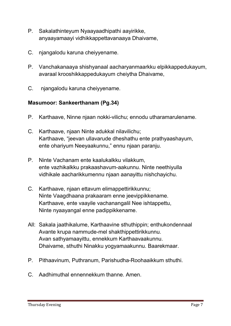- **P. Sakalathinteyum Nyaayaadhipathi aayirikke, anyaayamaayi vidhikkappettavanaaya Dhaivame,**
- **C. njangalodu karuna cheiyyename.**
- **P. Vanchakanaaya shishyanaal aacharyanmaarkku elpikkappedukayum, avaraal krooshikkappedukayum cheiytha Dhaivame,**
- **C. njangalodu karuna cheiyyename.**

## Masumoor: Sankeerthanam (Pg.34)

- **P. Karthaave, Ninne njaan nokki-vilichu; ennodu utharamarulename.**
- **C. Karthaave, njaan Ninte adukkal nilavilichu; Karthaave, "jeevan ullavarude dheshathu ente prathyaashayum, ente ohariyum Neeyaakunnu," ennu njaan paranju.**
- **P. Ninte Vachanam ente kaalukalkku vilakkum, ente vazhikalkku prakaashavum-aakunnu. Ninte neethiyulla vidhikale aacharikkumennu njaan aanayittu nishchayichu.**
- **C. Karthaave, njaan ettavum elimappettirikkunnu; Ninte Vaagdhaana prakaaram enne jeevippikkename. Karthaave, ente vaayile vachanangalil Nee ishtappettu, Ninte nyaayangal enne padippikkename.**
- **All: Sakala jaathikalume, Karthaavine sthuthippin; enthukondennaal Avante krupa nammude-mel shakthippettirikkunnu. Avan sathyamaayittu, ennekkum Karthaavaakunnu. Dhaivame, sthuthi Ninakku yogyamaakunnu. Baarekmaar.**
- **P. Pithaavinum, Puthranum, Parishudha-Roohaaikkum sthuthi.**
- **C. Aadhimuthal ennennekkum thanne. Amen.**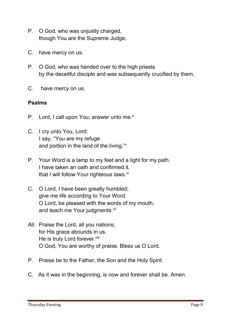- **P. O God, who was unjustly charged, though You are the Supreme Judge,**
- **C. have mercy on us.**
- **P. O God, who was handed over to the high priests by the deceitful disciple and was subsequently crucified by them,**
- **C. have mercy on us.**

## Psalms

- **P. Lord, I call upon You; answer unto me.iv**
- **C. I cry unto You, Lord; I say, "You are my refuge and portion in the land of the living."v**
- **P. Your Word is a lamp to my feet and a light for my path. I have taken an oath and confirmed it, that I will follow Your righteous laws. vi**
- **C. O Lord, I have been greatly humbled; give me life according to Your Word. O Lord, be pleased with the words of my mouth, and teach me Your judgments. vii**
- **All: Praise the Lord, all you nations; for His grace abounds in us.**  He is truly Lord forever.<sup>viii</sup> **O God, You are worthy of praise. Bless us O Lord.**
- **P. Praise be to the Father, the Son and the Holy Spirit.**
- **C. As it was in the beginning, is now and forever shall be. Amen.**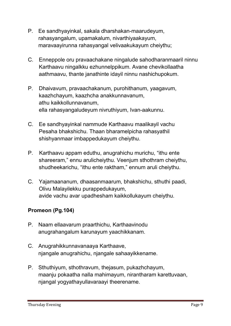- **P. Ee sandhyayinkal, sakala dharshakan-maarudeyum, rahasyangalum, upamakalum, nivarthiyaakayum, maravaayirunna rahasyangal velivaakukayum cheiythu;**
- **C. Enneppole oru pravaachakane ningalude sahodharanmaaril ninnu Karthaavu ningalkku ezhunnelppikum. Avane chevikollaatha aathmaavu, thante janathinte idayil ninnu nashichupokum.**
- **P. Dhaivavum, pravaachakanum, purohithanum, yaagavum, kaazhchayum, kaazhcha anakkunnavanum, athu kaikkollunnavanum, ella rahasyangaludeyum nivruthiyum, Ivan-aakunnu.**
- **C. Ee sandhyayinkal nammude Karthaavu maalikayil vachu Pesaha bhakshichu. Thaan bharamelpicha rahasyathil shishyanmaar imbappedukayum cheiythu.**
- **P. Karthaavu appam eduthu, anugrahichu murichu, "ithu ente shareeram," ennu arulicheiythu. Veenjum sthothram cheiythu, shudheekarichu, "ithu ente raktham," ennum aruli cheiythu.**
- **C. Yajamaananum, dhaasanmaarum, bhakshichu, sthuthi paadi, Olivu Malayilekku purappedukayum, avide vachu avar upadhesham kaikkollukayum cheiythu.**

# Promeon (Pg.104)

- **P. Naam ellaavarum praarthichu, Karthaavinodu anugrahangalum karunayum yaachikkanam.**
- **C. Anugrahikkunnavanaaya Karthaave, njangale anugrahichu, njangale sahaayikkename.**
- **P. Sthuthiyum, sthothravum, thejasum, pukazhchayum, maanju pokaatha nalla mahimayum, nirantharam karettuvaan, njangal yogyathayullavaraayi theerename.**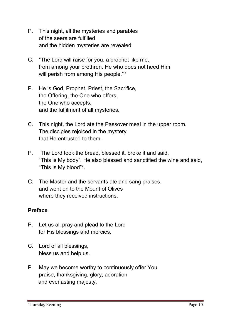- **P. This night, all the mysteries and parables of the seers are fulfilled and the hidden mysteries are revealed;**
- **C. "The Lord will raise for you, a prophet like me, from among your brethren. He who does not heed Him will perish from among His people." ix**
- **P. He is God, Prophet, Priest, the Sacrifice, the Offering, the One who offers, the One who accepts, and the fulfilment of all mysteries.**
- **C. This night, the Lord ate the Passover meal in the upper room. The disciples rejoiced in the mystery that He entrusted to them.**
- **P. The Lord took the bread, blessed it, broke it and said, "This is My body". He also blessed and sanctified the wine and said, "This is My blood"x .**
- **C. The Master and the servants ate and sang praises, and went on to the Mount of Olives where they received instructions.**

## Preface

- **P. Let us all pray and plead to the Lord for His blessings and mercies.**
- **C. Lord of all blessings, bless us and help us.**
- **P. May we become worthy to continuously offer You praise, thanksgiving, glory, adoration and everlasting majesty.**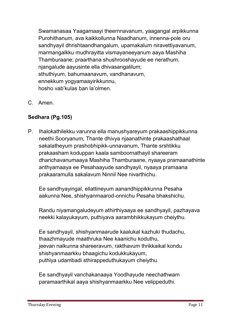**Swamanasaa Yaagamaayi theernnavanum, yaagangal arpikkunna Purohithanum, ava kaikkollunna Naadhanum, innenna-pole oru sandhyayil dhrishtaandhangalum, upamakalum niravettiyavanum, marmangalkku mudhrayitta vismayaneeyanum aaya Mashiha Thamburaane; praarthana shushrooshayude ee nerathum, njangalude aayusinte ella dhivasangalilum; sthuthiyum, bahumaanavum, vandhanavum, ennekkum yogyamaayirikkunnu, hosho vab'kulas ban la'olmen.**

**C. Amen.**

# Sedhara (Pg.105)

**P. Ihalokathilekku varunna ella manushyareyum prakaashippikkunna neethi Sooryanum, Thante dhivya njaanathinte prakaashathaal sakalatheyum prashobhipikk-unnavanum, Thante srshtikku prakaasham koduppan kaala samboornathayil shareeram dharichavanumaaya Mashiha Thamburaane, nyaaya pramaanathinte anthyamaaya ee Pesahaayude sandhyayil, nyaaya pramaana prakaaramulla sakalavum Ninnil Nee nivarthichu.** 

**Ee sandhyayingal, ellattineyum aanandhippikkunna Pesaha aakunna Nee, shishyanmaarod-onnichu Pesaha bhakshichu.** 

**Randu niyamangaludeyum athirthiyaaya ee sandhyayil, pazhayava neekki kalayukayum, puthiyava aarambhikkukayum cheiythu.** 

**Ee sandhyayil, shishyanmaarude kaalukal kazhuki thudachu, thaazhmayude maathruka Nee kaanichu koduthu, jeevan nalkunna shareeravum, rakthavum thrikkaikal kondu shishyanmaarkku bhaagichu kodukkukayum, puthiya udambadi sthirappeduthukayum cheiythu.** 

**Ee sandhyayil vanchakanaaya Yoodhayude neechathwam paramaarthikal aaya shishyanmaarkku Nee velippeduthi.**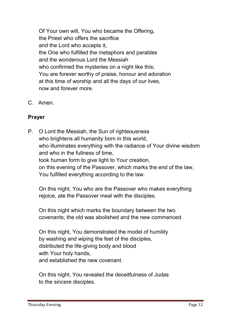**Of Your own will, You who became the Offering, the Priest who offers the sacrifice and the Lord who accepts it, the One who fulfilled the metaphors and parables and the wonderous Lord the Messiah who confirmed the mysteries on a night like this; You are forever worthy of praise, honour and adoration at this time of worship and all the days of our lives, now and forever more.**

**C. Amen.**

# Prayer

**P. O Lord the Messiah, the Sun of righteousness who brightens all humanity born in this world, who illuminates everything with the radiance of Your divine wisdom and who in the fullness of time, took human form to give light to Your creation, on this evening of the Passover, which marks the end of the law, You fulfilled everything according to the law.**

**On this night, You who are the Passover who makes everything rejoice, ate the Passover meal with the disciples.**

**On this night which marks the boundary between the two covenants, the old was abolished and the new commenced.**

**On this night, You demonstrated the model of humility by washing and wiping the feet of the disciples, distributed the life-giving body and blood with Your holy hands, and established the new covenant.**

**On this night, You revealed the deceitfulness of Judas to the sincere disciples.**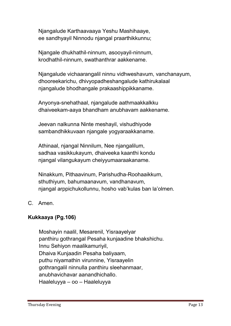**Njangalude Karthaavaaya Yeshu Mashihaaye, ee sandhyayil Ninnodu njangal praarthikkunnu;**

**Njangale dhukhathil-ninnum, asooyayil-ninnum, krodhathil-ninnum, swathanthrar aakkename.** 

**Njangalude vichaarangalil ninnu vidhweshavum, vanchanayum, dhooreekarichu, dhivyopadheshangalude kathirukalaal njangalude bhodhangale prakaashippikkaname.** 

**Anyonya-snehathaal, njangalude aathmaakkalkku dhaiveekam-aaya bhandham anubhavam aakkename.** 

**Jeevan nalkunna Ninte meshayil, vishudhiyode sambandhikkuvaan njangale yogyaraakkaname.** 

**Athinaal, njangal Ninnilum, Nee njangalilum, sadhaa vasikkukayum, dhaiveeka kaanthi kondu njangal vilangukayum cheiyyumaaraakaname.** 

**Ninakkum, Pithaavinum, Parishudha-Roohaaikkum, sthuthiyum, bahumaanavum, vandhanavum, njangal arppichukollunnu, hosho vab'kulas ban la'olmen.**

**C. Amen.**

# Kukkaaya (Pg.106)

**Moshayin naalil, Mesarenil, Yisraayelyar panthiru gothrangal Pesaha kunjaadine bhakshichu. Innu Sehiyon maalikamuriyil, Dhaiva Kunjaadin Pesaha baliyaam, puthu niyamathin virunnine, Yisraayelin gothrangalil ninnulla panthiru sleehanmaar, anubhavichavar aanandhichallo. Haaleluyya – oo – Haaleluyya**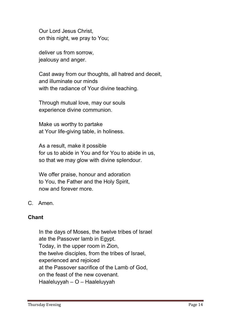**Our Lord Jesus Christ, on this night, we pray to You;**

**deliver us from sorrow, jealousy and anger.**

**Cast away from our thoughts, all hatred and deceit, and illuminate our minds with the radiance of Your divine teaching.**

**Through mutual love, may our souls experience divine communion.**

**Make us worthy to partake at Your life-giving table, in holiness.**

**As a result, make it possible for us to abide in You and for You to abide in us, so that we may glow with divine splendour.**

**We offer praise, honour and adoration to You, the Father and the Holy Spirit, now and forever more.**

**C. Amen.**

## Chant

**In the days of Moses, the twelve tribes of Israel ate the Passover lamb in Egypt. Today, in the upper room in Zion, the twelve disciples, from the tribes of Israel, experienced and rejoiced at the Passover sacrifice of the Lamb of God, on the feast of the new covenant. Haaleluyyah – O – Haaleluyyah**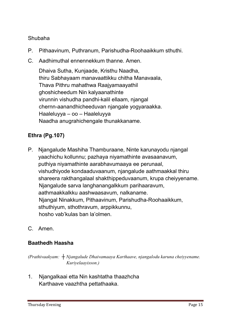## **Shubaha**

- **P. Pithaavinum, Puthranum, Parishudha-Roohaaikkum sthuthi.**
- **C. Aadhimuthal ennennekkum thanne. Amen.**

**Dhaiva Sutha, Kunjaade, Kristhu Naadha, thiru Sabhayaam manavaattikku chitha Manavaala, Thava Pithru mahathwa Raajyamaayathil ghoshicheedum Nin kalyaanathinte virunnin vishudha pandhi-kalil ellaam, njangal chernn-aanandhicheeduvan njangale yogyaraakka. Haaleluyya – oo – Haaleluyya Naadha anugrahichengale thunakkaname.**

# Ethra (Pg.107)

- **P. Njangalude Mashiha Thamburaane, Ninte karunayodu njangal yaachichu kollunnu; pazhaya niyamathinte avasaanavum, puthiya niyamathinte aarabhavumaaya ee perunaal, vishudhiyode kondaaduvaanum, njangalude aathmaakkal thiru shareera rakthangalaal shakthippeduvaanum, krupa cheiyyename. Njangalude sarva langhanangalkkum parihaaravum, aathmaakkalkku aashwaasavum, nalkaname. Njangal Ninakkum, Pithaavinum, Parishudha-Roohaaikkum, sthuthiyum, sthothravum, arppikkunnu, hosho vab'kulas ban la'olmen.**
- **C. Amen.**

## Baathedh Haasha

*(Prathivaakyam: ┼ Njangalude Dhaivamaaya Karthaave, njangalodu karuna cheiyyename. Kuriyelaayisson.)*

**1. Njangalkaai etta Nin kashtatha thaazhcha Karthaave vaazhtha pettathaaka.**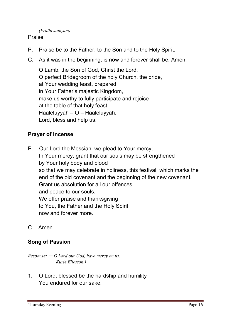## *(Prathivaakyam)*

## **Praise**

- **P. Praise be to the Father, to the Son and to the Holy Spirit.**
- **C. As it was in the beginning, is now and forever shall be. Amen.**

**O Lamb, the Son of God, Christ the Lord, O perfect Bridegroom of the holy Church, the bride, at Your wedding feast, prepared in Your Father's majestic Kingdom, make us worthy to fully participate and rejoice at the table of that holy feast. Haaleluyyah – O – Haaleluyyah. Lord, bless and help us.**

## Prayer of Incense

- **P. Our Lord the Messiah, we plead to Your mercy; In Your mercy, grant that our souls may be strengthened by Your holy body and blood so that we may celebrate in holiness, this festival which marks the end of the old covenant and the beginning of the new covenant. Grant us absolution for all our offences and peace to our souls. We offer praise and thanksgiving to You, the Father and the Holy Spirit, now and forever more.**
- **C. Amen.**

## Song of Passion

*Response: ┼ O Lord our God, have mercy on us. Kurie Eliesson.)*

**1. O Lord, blessed be the hardship and humility You endured for our sake.**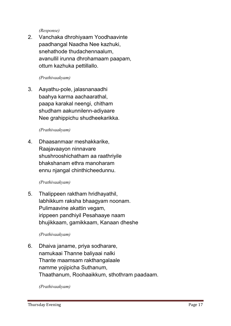*(Response)*

**2. Vanchaka dhrohiyaam Yoodhaavinte paadhangal Naadha Nee kazhuki, snehathode thudachennaalum, avanullil irunna dhrohamaam paapam, ottum kazhuka pettillallo.**

## *(Prathivaakyam)*

**3. Aayathu-pole, jalasnanaadhi baahya karma aachaarathal, paapa karakal neengi, chitham shudham aakunnilenn-adiyaare Nee grahippichu shudheekarikka.**

## *(Prathivaakyam)*

**4. Dhaasanmaar meshakkarike, Raajavaayon ninnavare shushrooshichatham aa raathriyile bhakshanam ethra manoharam ennu njangal chinthicheedunnu.**

## *(Prathivaakyam)*

**5. Thalippeen raktham hridhayathil, labhikkum raksha bhaagyam noonam. Pulimaavine akattin vegam, irippeen pandhiyil Pesahaaye naam bhujikkaam, gamikkaam, Kanaan dheshe**

## *(Prathivaakyam)*

**6. Dhaiva janame, priya sodharare, namukaai Thanne baliyaai nalki Thante maamsam rakthangalaale namme yojipicha Suthanum, Thaathanum, Roohaaikkum, sthothram paadaam.**

*(Prathivaakyam)*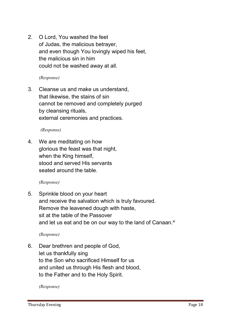**2. O Lord, You washed the feet of Judas, the malicious betrayer, and even though You lovingly wiped his feet, the malicious sin in him could not be washed away at all.**

*(Response)*

**3. Cleanse us and make us understand, that likewise, the stains of sin cannot be removed and completely purged by cleansing rituals, external ceremonies and practices.**

#### *(Response)*

**4. We are meditating on how glorious the feast was that night, when the King himself, stood and served His servants seated around the table.**

#### *(Response)*

**5. Sprinkle blood on your heart and receive the salvation which is truly favoured. Remove the leavened dough with haste, sit at the table of the Passover** and let us eat and be on our way to the land of Canaan.<sup>xi</sup>

*(Response)*

**6. Dear brethren and people of God, let us thankfully sing to the Son who sacrificed Himself for us and united us through His flesh and blood, to the Father and to the Holy Spirit.**

*(Response)*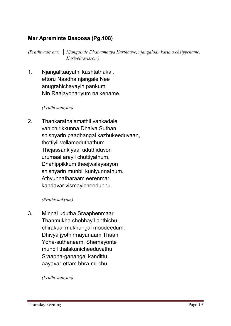# Mar Apreminte Baaoosa (Pg.108)

*(Prathivaakyam: ┼ Njangalude Dhaivamaaya Karthaave, njangalodu karuna cheiyyename. Kuriyelaayisson.)*

**1. Njangalkaayathi kashtathakal, ettoru Naadha njangale Nee anugrahichavayin pankum Nin Raajayohariyum nalkename.**

*(Prathivaakyam)* 

**2. Thankarathalamathil vankadale vahichirikkunna Dhaiva Suthan, shishyarin paadhangal kazhukeeduvaan, thottiyil vellameduthathum. Thejassankiyaai uduthiduvon urumaal arayil chuttiyathum. Dhahippikkum theejwalayaayon shishyarin munbil kuniyunnathum. Athyunnatharaam eerenmar, kandavar vismayicheedunnu.**

*(Prathivaakyam)* 

**3. Minnal udutha Sraaphenmaar Thanmukha shobhayil anthichu chirakaal mukhangal moodeedum. Dhivya jyothirmayanaam Thaan Yona-suthanaam, Shemayonte munbil thalakunicheeduvathu Sraapha-ganangal kandittu aayavar-ettam bhra-mi-chu.**

*(Prathivaakyam)*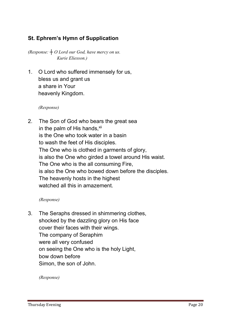# St. Ephrem's Hymn of Supplication

*(Response: ┼ O Lord our God, have mercy on us. Kurie Eliesson.)*

**1. O Lord who suffered immensely for us, bless us and grant us a share in Your heavenly Kingdom.**

*(Response)*

**2. The Son of God who bears the great sea** in the palm of His hands,<sup>xii</sup> **is the One who took water in a basin to wash the feet of His disciples. The One who is clothed in garments of glory, is also the One who girded a towel around His waist. The One who is the all consuming Fire, is also the One who bowed down before the disciples. The heavenly hosts in the highest watched all this in amazement.** 

#### *(Response)*

**3. The Seraphs dressed in shimmering clothes, shocked by the dazzling glory on His face cover their faces with their wings. The company of Seraphim were all very confused on seeing the One who is the holy Light, bow down before Simon, the son of John.**

*(Response)*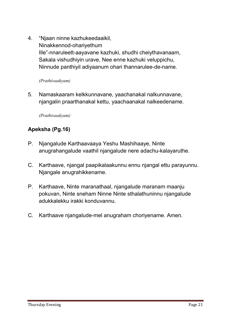**4. "Njaan ninne kazhukeedaaikil, Ninakkennod-ohariyethum Ille"-nnaruleett-aayavane kazhuki, shudhi cheiythavanaam, Sakala vishudhiyin urave, Nee enne kazhuki veluppichu, Ninnude panthiyil adiyaanum ohari thannarulee-de-name.**

#### *(Prathivaakyam)*

**5. Namaskaaram kelkkunnavane, yaachanakal nalkunnavane, njangalin praarthanakal kettu, yaachaanakal nalkeedename.**

*(Prathivaakyam)* 

# Apeksha (Pg.16)

- **P. Njangalude Karthaavaaya Yeshu Mashihaaye, Ninte anugrahangalude vaathil njangalude nere adachu-kalayaruthe.**
- **C. Karthaave, njangal paapikalaakunnu ennu njangal ettu parayunnu. Njangale anugrahikkename.**
- **P. Karthaave, Ninte maranathaal, njangalude maranam maanju pokuvan, Ninte sneham Ninne Ninte sthalathuninnu njangalude adukkalekku irakki konduvannu.**
- **C. Karthaave njangalude-mel anugraham choriyename. Amen.**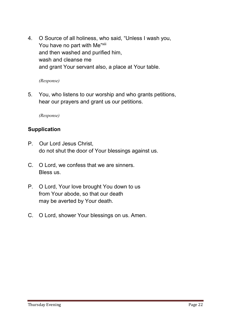**4. O Source of all holiness, who said, "Unless I wash you,**  You have no part with Me"<sup>xiii</sup> **and then washed and purified him, wash and cleanse me and grant Your servant also, a place at Your table.**

*(Response)*

**5. You, who listens to our worship and who grants petitions, hear our prayers and grant us our petitions.**

*(Response)*

## **Supplication**

- **P. Our Lord Jesus Christ, do not shut the door of Your blessings against us.**
- **C. O Lord, we confess that we are sinners. Bless us.**
- **P. O Lord, Your love brought You down to us from Your abode, so that our death may be averted by Your death.**
- **C. O Lord, shower Your blessings on us. Amen.**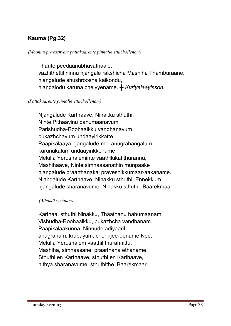# Kauma (Pg.32)

#### *(Moonnu pravashyam pattakaarente pinnalle ettuchollenam)*

**Thante peedaanubhavathaale, vazhithettil ninnu njangale rakshicha Mashiha Thamburaane, njangalude shushroosha kaikondu, njangalodu karuna cheiyyename.** *┼ Kuriyelaayisson.*

#### *(Pattakaarente pinnalle ettuchollenam)*

**Njangalude Karthaave, Ninakku sthuthi, Ninte Pithaavinu bahumaanavum, Parishudha-Roohaaikku vandhanavum pukazhchayum undaayirikkatte. Paapikalaaya njangalude-mel anugrahangalum, karunakalum undaayirikkename. Melulla Yerushaleminte vaathilukal thurannu, Mashihaaye, Ninte simhaasanathin munpaake njangalude praarthanakal praveshikkumaar-aakaname. Njangalude Karthaave, Ninakku sthuthi. Ennekkum njangalude sharanavume, Ninakku sthuthi. Baarekmaar.** 

#### *(Allenkil geetham)*

**Karthaa, sthuthi Ninakku, Thaathanu bahumaanam, Vishudha-Roohaaikku, pukazhcha vandhanam. Paapikalaakunna, Ninnude adiyaaril anugraham, krupayum, chorinjee-dename Nee. Melulla Yerushalem vaathil thurannittu, Mashiha, simhaasane, praarthana ethaname. Sthuthi en Karthaave, sthuthi en Karthaave, nithya sharanavume, sthuthithe. Baarekmaar.**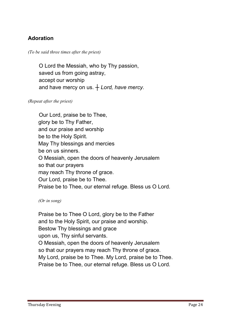# Adoration

*(To be said three times after the priest)*

 **O Lord the Messiah, who by Thy passion, saved us from going astray, accept our worship and have mercy on us.** *┼ Lord, have mercy.*

*(Repeat after the priest)*

**Our Lord, praise be to Thee, glory be to Thy Father, and our praise and worship be to the Holy Spirit. May Thy blessings and mercies be on us sinners. O Messiah, open the doors of heavenly Jerusalem so that our prayers may reach Thy throne of grace. Our Lord, praise be to Thee. Praise be to Thee, our eternal refuge. Bless us O Lord.**

*(Or in song)* 

**Praise be to Thee O Lord, glory be to the Father and to the Holy Spirit, our praise and worship. Bestow Thy blessings and grace upon us, Thy sinful servants. O Messiah, open the doors of heavenly Jerusalem so that our prayers may reach Thy throne of grace. My Lord, praise be to Thee. My Lord, praise be to Thee. Praise be to Thee, our eternal refuge. Bless us O Lord.**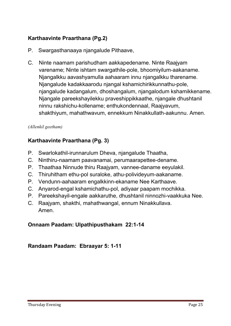# Karthaavinte Praarthana (Pg.2)

- **P. Swargasthanaaya njangalude Pithaave,**
- **C. Ninte naamam parishudham aakkapedename. Ninte Raajyam varename; Ninte ishtam swargathile-pole, bhoomiyilum-aakaname. Njangalkku aavashyamulla aahaaram innu njangalkku tharename. Njangalude kadakkaarodu njangal kshamichirikkunnathu-pole, njangalude kadangalum, dhoshangalum, njangalodum kshamikkename. Njangale pareekshayilekku praveshippikkaathe, njangale dhushtanil ninnu rakshichu-kollename; enthukondennaal, Raajyavum, shakthiyum, mahathwavum, ennekkum Ninakkullath-aakunnu. Amen.**

## *(Allenkil geetham)*

# Karthaavinte Praarthana (Pg. 3)

- **P. Swarlokathil-irunnarulum Dheva, njangalude Thaatha,**
- **C. Ninthiru-naamam paavanamai, perumaarapettee-dename.**
- **P. Thaathaa Ninnude thiru Raajyam, vannee-daname eeyulakil.**
- **C. Thiruhitham ethu-pol suraloke, athu-polivideyum-aakaname.**
- **P. Vendunn-aahaaram engalkkinn-ekaname Nee Karthaave.**
- **C. Anyarod-engal kshamichathu-pol, adiyaar paapam mochikka.**
- **P. Pareekshayil-engale aakkaruthe, dhushtanil ninnozhi-vaakkuka Nee.**
- **C. Raajyam, shakthi, mahathwangal, ennum Ninakkullava. Amen.**

## Onnaam Paadam: Ulpathipusthakam 22:1-14

## Randaam Paadam: Ebraayar 5: 1-11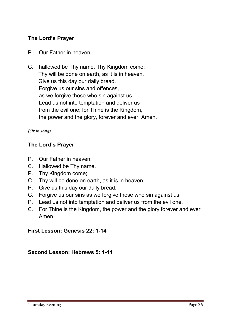# The Lord's Prayer

- **P. Our Father in heaven,**
- **C. hallowed be Thy name. Thy Kingdom come; Thy will be done on earth, as it is in heaven. Give us this day our daily bread. Forgive us our sins and offences, as we forgive those who sin against us. Lead us not into temptation and deliver us from the evil one; for Thine is the Kingdom, the power and the glory, forever and ever. Amen.**

## *(Or in song)*

## The Lord's Prayer

- **P. Our Father in heaven,**
- **C. Hallowed be Thy name.**
- **P. Thy Kingdom come;**
- **C. Thy will be done on earth, as it is in heaven.**
- **P. Give us this day our daily bread.**
- **C. Forgive us our sins as we forgive those who sin against us.**
- **P. Lead us not into temptation and deliver us from the evil one,**
- **C. For Thine is the Kingdom, the power and the glory forever and ever. Amen.**

## First Lesson: Genesis 22: 1-14

## Second Lesson: Hebrews 5: 1-11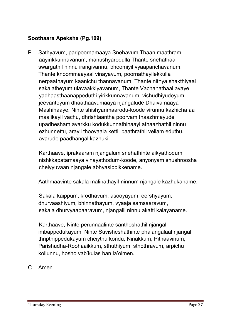# Soothaara Apeksha (Pg.109)

**P. Sathyavum, paripoornamaaya Snehavum Thaan maathram aayirikkunnavanum, manushyarodulla Thante snehathaal swargathil ninnu irangivannu, bhoomiyil vyaaparichavanum, Thante knoommaayaal vinayavum, poornathayilekkulla nerpaathayum kaanichu thannavanum, Thante nithya shakthiyaal sakalatheyum ulavaakkiyavanum, Thante Vachanathaal avaye yadhaasthaanappeduthi yirikkunnavanum, vishudhiyudeyum, jeevanteyum dhaathaavumaaya njangalude Dhaivamaaya Mashihaaye, Ninte shishyanmaarodu-koode virunnu kazhicha aa maalikayil vachu, dhrishtaantha poorvam thaazhmayude upadhesham avarkku kodukkunnathinaayi athaazhathil ninnu ezhunnettu, arayil thoovaala ketti, paathrathil vellam eduthu, avarude paadhangal kazhuki.** 

**Karthaave, iprakaaram njangalum snehathinte aikyathodum, nishkkapatamaaya vinayathodum-koode, anyonyam shushroosha cheiyyuvaan njangale abhyasippikkename.** 

**Aathmaavinte sakala malinathayil-ninnum njangale kazhukaname.** 

**Sakala kaippum, krodhavum, asooyayum, eershyayum, dhurvaashiyum, bhinnathayum, vyaaja samsaaravum, sakala dhurvyaapaaravum, njangalil ninnu akatti kalayaname.**

**Karthaave, Ninte perunnaalinte santhoshathil njangal imbappedukayum, Ninte Suvisheshathinte phalangalaal njangal thripthippedukayum cheiythu kondu, Ninakkum, Pithaavinum, Parishudha-Roohaaikkum, sthuthiyum, sthothravum, arpichu kollunnu, hosho vab'kulas ban la'olmen.**

**C. Amen.**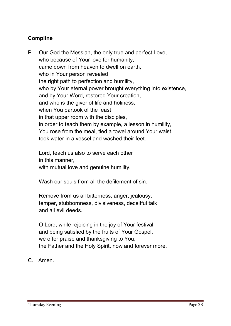# Compline

**P. Our God the Messiah, the only true and perfect Love, who because of Your love for humanity, came down from heaven to dwell on earth, who in Your person revealed the right path to perfection and humility, who by Your eternal power brought everything into existence, and by Your Word, restored Your creation, and who is the giver of life and holiness, when You partook of the feast in that upper room with the disciples, in order to teach them by example, a lesson in humility, You rose from the meal, tied a towel around Your waist, took water in a vessel and washed their feet.**

**Lord, teach us also to serve each other in this manner, with mutual love and genuine humility.**

**Wash our souls from all the defilement of sin.**

**Remove from us all bitterness, anger, jealousy, temper, stubbornness, divisiveness, deceitful talk and all evil deeds.**

**O Lord, while rejoicing in the joy of Your festival and being satisfied by the fruits of Your Gospel, we offer praise and thanksgiving to You, the Father and the Holy Spirit, now and forever more.** 

**C. Amen.**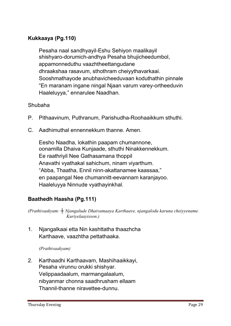# Kukkaaya (Pg.110)

**Pesaha naal sandhyayil-Eshu Sehiyon maalikayil shishyaro-dorumich-andhya Pesaha bhujicheedumbol, appamonneduthu vaazhtheettangudane dhraakshaa rasavum, sthothram cheiyythavarkaai. Sooshmathayode anubhavicheeduvaan koduthathin pinnale "En maranam ingane ningal Njaan varum varey-ortheeduvin Haaleluyya," ennarulee Naadhan.**

## **Shubaha**

- **P. Pithaavinum, Puthranum, Parishudha-Roohaaikkum sthuthi.**
- **C. Aadhimuthal ennennekkum thanne. Amen.**

**Eesho Naadha, lokathin paapam chumannone, oonamilla Dhaiva Kunjaade, sthuthi Ninakkennekkum. Ee raathriyil Nee Gathasamana thoppil Anavathi vyathakal sahichum, ninam viyarthum. "Abba, Thaatha, Ennil ninn-akattanamee kaassaa," en paapangal Nee chumannitt-eevannam karanjayoo. Haaleluyya Ninnude vyathayinkhal.**

# Baathedh Haasha (Pg.111)

*(Prathivaakyam: ┼ Njangalude Dhaivamaaya Karthaave, njangalodu karuna cheiyyename. Kuriyelaayisson.)*

**1. Njangalkaai etta Nin kashttatha thaazhcha Karthaave, vaazhtha pettathaaka.**

*(Prathivaakyam)* 

**2. Karthaadhi Karthaavam, Mashihaaikkayi, Pesaha virunnu orukki shishyar. Velippaadaalum, marmangalaalum, nibyanmar chonna saadhrusham ellaam Thannil-thanne niravettee-dunnu.**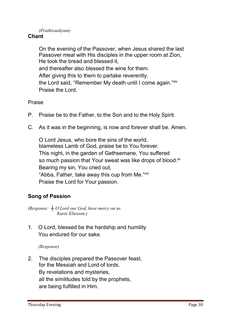## *(Prathivaakyam)*

## Chant

**On the evening of the Passover, when Jesus shared the last Passover meal with His disciples in the upper room at Zion, He took the bread and blessed it, and thereafter also blessed the wine for them. After giving this to them to partake reverently, the Lord said, "Remember My death until I come again." xiv Praise the Lord.**

**Praise**

- **P. Praise be to the Father, to the Son and to the Holy Spirit.**
- **C. As it was in the beginning, is now and forever shall be. Amen.**

**O Lord Jesus, who bore the sins of the world, blameless Lamb of God, praise be to You forever. This night, in the garden of Gethsemane, You suffered so much passion that Your sweat was like drops of blood. xv Bearing my sin, You cried out, "Abba, Father, take away this cup from Me." xvi Praise the Lord for Your passion.**

## Song of Passion

*(Response: ┼ O Lord our God, have mercy on us. Kurie Eliesson.)*

**1. O Lord, blessed be the hardship and humility You endured for our sake.** 

*(Response)*

**2. The disciples prepared the Passover feast, for the Messiah and Lord of lords. By revelations and mysteries, all the similitudes told by the prophets, are being fulfilled in Him.**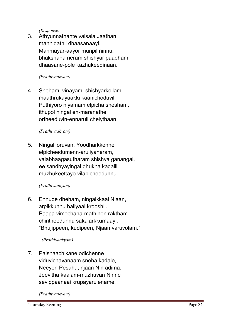*(Response)*

**3. Athyunnathante valsala Jaathan mannidathil dhaasanaayi. Manmayar-aayor munpil ninnu, bhakshana neram shishyar paadham dhaasane-pole kazhukeedinaan.**

## *(Prathivaakyam)*

**4. Sneham, vinayam, shishyarkellam maathrukayaakki kaanichoduvil. Puthiyoro niyamam elpicha shesham, ithupol ningal en-maranathe ortheeduvin-ennaruli cheiythaan.**

## *(Prathivaakyam)*

**5. Ningaliloruvan, Yoodharkkenne elpicheedumenn-aruliyaneram, valabhaagasutharam shishya ganangal, ee sandhyayingal dhukha kadalil muzhukeettayo vilapicheedunnu.**

#### *(Prathivaakyam)*

**6. Ennude dheham, ningalkkaai Njaan, arpikkunnu baliyaai krooshil. Paapa vimochana-mathinen raktham chintheedunnu sakalarkkumaayi. "Bhujippeen, kudipeen, Njaan varuvolam."**

#### *(Prathivaakyam)*

**7. Paishaachikane odichenne viduvichavanaam sneha kadale, Neeyen Pesaha, njaan Nin adima. Jeevitha kaalam-muzhuvan Ninne sevippaanaai krupayarulename.**

*(Prathivaakyam)*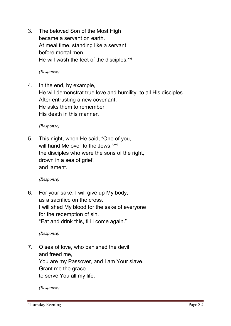**3. The beloved Son of the Most High became a servant on earth. At meal time, standing like a servant before mortal men, He will wash the feet of the disciples.xvii**

*(Response)*

**4. In the end, by example, He will demonstrat true love and humility, to all His disciples. After entrusting a new covenant, He asks them to remember His death in this manner.**

*(Response)*

**5. This night, when He said, "One of you, will hand Me over to the Jews,"xviii the disciples who were the sons of the right, drown in a sea of grief, and lament.**

*(Response)*

**6. For your sake, I will give up My body, as a sacrifice on the cross. I will shed My blood for the sake of everyone for the redemption of sin. "Eat and drink this, till I come again."**

*(Response)*

**7. O sea of love, who banished the devil and freed me, You are my Passover, and I am Your slave. Grant me the grace to serve You all my life.**

*(Response)*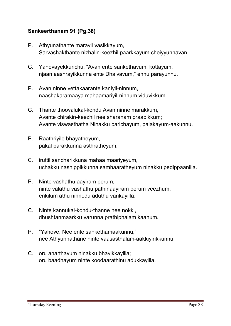# Sankeerthanam 91 (Pg.38)

- **P. Athyunathante maravil vasikkayum, Sarvashakthante nizhalin-keezhil paarkkayum cheiyyunnavan.**
- **C. Yahovayekkurichu, "Avan ente sankethavum, kottayum, njaan aashrayikkunna ente Dhaivavum," ennu parayunnu.**
- **P. Avan ninne vettakaarante kaniyil-ninnum, naashakaramaaya mahaamariyil-ninnum viduvikkum.**
- **C. Thante thoovalukal-kondu Avan ninne marakkum, Avante chirakin-keezhil nee sharanam praapikkum; Avante viswasthatha Ninakku parichayum, palakayum-aakunnu.**
- **P. Raathriyile bhayatheyum, pakal parakkunna asthratheyum,**
- **C. iruttil sancharikkuna mahaa maariyeyum, uchakku nashippikkunna samhaaratheyum ninakku pedippaanilla.**
- **P. Ninte vashathu aayiram perum, ninte valathu vashathu pathinaayiram perum veezhum, enkilum athu ninnodu aduthu varikayilla.**
- **C. Ninte kannukal-kondu-thanne nee nokki, dhushtanmaarkku varunna prathiphalam kaanum.**
- **P. "Yahove, Nee ente sankethamaakunnu," nee Athyunnathane ninte vaasasthalam-aakkiyirikkunnu,**
- **C. oru anarthavum ninakku bhavikkayilla; oru baadhayum ninte koodaarathinu adukkayilla.**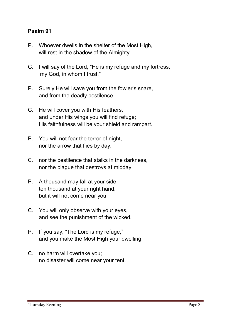## Psalm 91

- **P. Whoever dwells in the shelter of the Most High, will rest in the shadow of the Almighty.**
- **C. I will say of the Lord, "He is my refuge and my fortress, my God, in whom I trust."**
- **P. Surely He will save you from the fowler's snare, and from the deadly pestilence.**
- **C. He will cover you with His feathers, and under His wings you will find refuge; His faithfulness will be your shield and rampart.**
- **P. You will not fear the terror of night, nor the arrow that flies by day,**
- **C. nor the pestilence that stalks in the darkness, nor the plague that destroys at midday.**
- **P. A thousand may fall at your side, ten thousand at your right hand, but it will not come near you.**
- **C. You will only observe with your eyes, and see the punishment of the wicked.**
- **P. If you say, "The Lord is my refuge," and you make the Most High your dwelling,**
- **C. no harm will overtake you; no disaster will come near your tent.**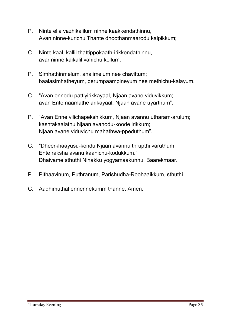- **P. Ninte ella vazhikalilum ninne kaakkendathinnu, Avan ninne-kurichu Thante dhoothanmaarodu kalpikkum;**
- **C. Ninte kaal, kallil thattippokaath-irikkendathinnu, avar ninne kaikalil vahichu kollum.**
- **P. Simhathinmelum, analimelum nee chavittum; baalasimhatheyum, perumpaampineyum nee methichu-kalayum.**
- **C "Avan ennodu pattiyirikkayaal, Njaan avane viduvikkum; avan Ente naamathe arikayaal, Njaan avane uyarthum".**
- **P. "Avan Enne vilichapekshikkum, Njaan avannu utharam-arulum; kashtakaalathu Njaan avanodu-koode irikkum; Njaan avane viduvichu mahathwa-ppeduthum".**
- **C. "Dheerkhaayusu-kondu Njaan avannu thrupthi varuthum, Ente raksha avanu kaanichu-kodukkum." Dhaivame sthuthi Ninakku yogyamaakunnu. Baarekmaar.**
- **P. Pithaavinum, Puthranum, Parishudha-Roohaaikkum, sthuthi.**
- **C. Aadhimuthal ennennekumm thanne. Amen.**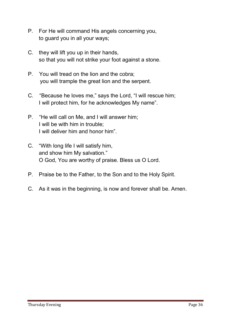- **P. For He will command His angels concerning you, to guard you in all your ways;**
- **C. they will lift you up in their hands, so that you will not strike your foot against a stone.**
- **P. You will tread on the lion and the cobra; you will trample the great lion and the serpent.**
- **C. "Because he loves me," says the Lord, "I will rescue him; I will protect him, for he acknowledges My name".**
- **P. "He will call on Me, and I will answer him; I will be with him in trouble; I will deliver him and honor him".**
- **C. "With long life I will satisfy him, and show him My salvation." O God, You are worthy of praise. Bless us O Lord.**
- **P. Praise be to the Father, to the Son and to the Holy Spirit.**
- **C. As it was in the beginning, is now and forever shall be. Amen.**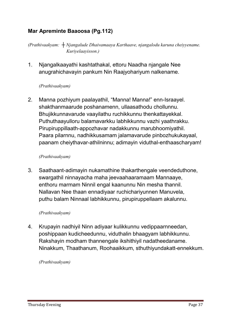# Mar Apreminte Baaoosa (Pg.112)

*(Prathivaakyam: ┼ Njangalude Dhaivamaaya Karthaave, njangalodu karuna cheiyyename. Kuriyelaayisson.)*

**1. Njangalkaayathi kashtathakal, ettoru Naadha njangale Nee anugrahichavayin pankum Nin Raajyohariyum nalkename.**

## *(Prathivaakyam)*

**2. Manna pozhiyum paalayathil, "Manna! Manna!" enn-Israayel. shakthanmaarude poshanamenn, ullaasathodu chollunnu. Bhujikkunnavarude vaayilathu ruchikkunnu thenkattayekkal. Puthuthaayulloru balamavarkku labhikkunnu vazhi yaathrakku. Pirupiruppillaath-appozhavar nadakkunnu marubhoomiyathil. Paara pilarnnu, nadhikkusamam jalamavarude pinbozhukukayaal, paanam cheiythavar-athilninnu; adimayin viduthal-enthaascharyam!**

## *(Prathivaakyam)*

**3. Saathaant-adimayin nukamathine thakarthengale veendeduthone, swargathil ninnayacha maha jeevaahaaramaam Mannaaye, enthoru marmam Ninnil engal kaanunnu Nin mesha thannil. Nallavan Nee thaan ennadiyaar ruchichariyunnen Manuvela, puthu balam Ninnaal labhikkunnu, pirupiruppellaam akalunnu.**

#### *(Prathivaakyam)*

**4. Krupayin nadhiyil Ninn adiyaar kulikkunnu vedippaarnneedan, poshippaan kudicheedunnu, viduthalin bhaagyam labhikkunnu. Rakshayin modham thannengale ikshithiyil nadatheedaname. Ninakkum, Thaathanum, Roohaaikkum, sthuthiyundakatt-ennekkum.**

*(Prathivaakyam)*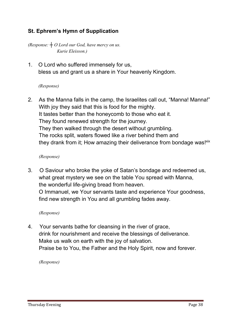# St. Ephrem's Hymn of Supplication

*(Response: ┼ O Lord our God, have mercy on us. Kurie Eleisson.)*

**1. O Lord who suffered immensely for us, bless us and grant us a share in Your heavenly Kingdom.**

## *(Response)*

**2. As the Manna falls in the camp, the Israelites call out, "Manna! Manna!" With joy they said that this is food for the mighty. It tastes better than the honeycomb to those who eat it. They found renewed strength for the journey. They then walked through the desert without grumbling. The rocks split, waters flowed like a river behind them and they drank from it; How amazing their deliverance from bondage was! xix**

## *(Response)*

**3. O Saviour who broke the yoke of Satan's bondage and redeemed us, what great mystery we see on the table You spread with Manna, the wonderful life-giving bread from heaven. O Immanuel, we Your servants taste and experience Your goodness, find new strength in You and all grumbling fades away.**

#### *(Response)*

**4. Your servants bathe for cleansing in the river of grace, drink for nourishment and receive the blessings of deliverance. Make us walk on earth with the joy of salvation. Praise be to You, the Father and the Holy Spirit, now and forever.**

*(Response)*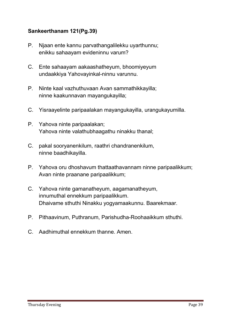# Sankeerthanam 121(Pg.39)

- **P. Njaan ente kannu parvathangalilekku uyarthunnu; enikku sahaayam evideninnu varum?**
- **C. Ente sahaayam aakaashatheyum, bhoomiyeyum undaakkiya Yahovayinkal-ninnu varunnu.**
- **P. Ninte kaal vazhuthuvaan Avan sammathikkayilla; ninne kaakunnavan mayangukayilla;**
- **C. Yisraayelinte paripaalakan mayangukayilla, urangukayumilla.**
- **P. Yahova ninte paripaalakan; Yahova ninte valathubhaagathu ninakku thanal;**
- **C. pakal sooryanenkilum, raathri chandranenkilum, ninne baadhikayilla.**
- **P. Yahova oru dhoshavum thattaathavannam ninne paripaalikkum; Avan ninte praanane paripaalikkum;**
- **C. Yahova ninte gamanatheyum, aagamanatheyum, innumuthal ennekkum paripaalikkum. Dhaivame sthuthi Ninakku yogyamaakunnu. Baarekmaar.**
- **P. Pithaavinum, Puthranum, Parishudha-Roohaaikkum sthuthi.**
- **C. Aadhimuthal ennekkum thanne. Amen.**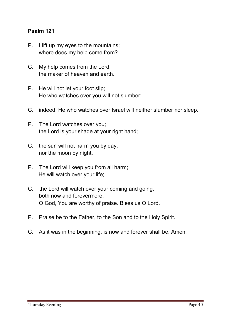## Psalm 121

- **P. I lift up my eyes to the mountains; where does my help come from?**
- **C. My help comes from the Lord, the maker of heaven and earth.**
- **P. He will not let your foot slip; He who watches over you will not slumber;**
- **C. indeed, He who watches over Israel will neither slumber nor sleep.**
- **P. The Lord watches over you; the Lord is your shade at your right hand;**
- **C. the sun will not harm you by day, nor the moon by night.**
- **P. The Lord will keep you from all harm; He will watch over your life;**
- **C. the Lord will watch over your coming and going, both now and forevermore. O God, You are worthy of praise. Bless us O Lord.**
- **P. Praise be to the Father, to the Son and to the Holy Spirit.**
- **C. As it was in the beginning, is now and forever shall be. Amen.**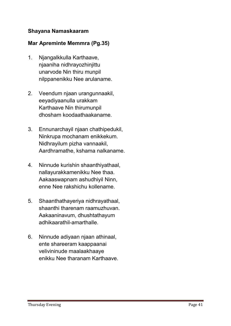## Shayana Namaskaaram

## Mar Apreminte Memmra (Pg.35)

- **1. Njangalkkulla Karthaave, njaaniha nidhrayozhinjittu unarvode Nin thiru munpil nilppanenikku Nee arulaname.**
- **2. Veendum njaan urangunnaakil, eeyadiyaanulla urakkam Karthaave Nin thirumunpil dhosham koodaathaakaname.**
- **3. Ennunarchayil njaan chathipedukil, Ninkrupa mochanam enikkekum. Nidhrayilum pizha vannaakil, Aardhramathe, kshama nalkaname.**
- **4. Ninnude kurishin shaanthiyathaal, nallayurakkamenikku Nee thaa. Aakaaswapnam ashudhiyil Ninn, enne Nee rakshichu kollename.**
- **5. Shaanthathayeriya nidhrayathaal, shaanthi tharenam raamuzhuvan. Aakaaninavum, dhushtathayum adhikaarathil-amarthalle.**
- **6. Ninnude adiyaan njaan athinaal, ente shareeram kaappaanai velivininude maalaakhaaye enikku Nee tharanam Karthaave.**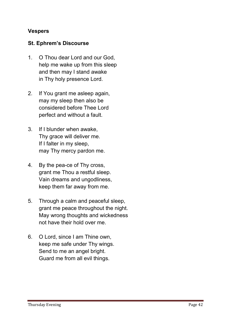## Vespers

## St. Ephrem's Discourse

- **1. O Thou dear Lord and our God, help me wake up from this sleep and then may I stand awake in Thy holy presence Lord.**
- **2. If You grant me asleep again, may my sleep then also be considered before Thee Lord perfect and without a fault.**
- **3. If I blunder when awake, Thy grace will deliver me. If I falter in my sleep, may Thy mercy pardon me.**
- **4. By the pea-ce of Thy cross, grant me Thou a restful sleep. Vain dreams and ungodliness, keep them far away from me.**
- **5. Through a calm and peaceful sleep, grant me peace throughout the night. May wrong thoughts and wickedness not have their hold over me.**
- **6. O Lord, since I am Thine own, keep me safe under Thy wings. Send to me an angel bright. Guard me from all evil things.**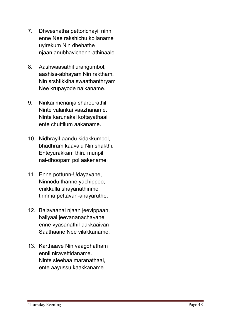- **7. Dhweshatha pettorichayil ninn enne Nee rakshichu kollaname uyirekum Nin dhehathe njaan anubhavichenn-athinaale.**
- **8. Aashwaasathil urangumbol, aashiss-abhayam Nin raktham. Nin srshtikkiha swaathanthryam Nee krupayode nalkaname.**
- **9. Ninkai menanja shareerathil Ninte valankai vaazhaname. Ninte karunakal kottayathaai ente chuttilum aakaname.**
- **10. Nidhrayil-aandu kidakkumbol, bhadhram kaavalu Nin shakthi. Enteyurakkam thiru munpil nal-dhoopam pol aakename.**
- **11. Enne pottunn-Udayavane, Ninnodu thanne yachippoo; enikkulla shayanathinmel thinma pettavan-anayaruthe.**
- **12. Balavaanai njaan jeevippaan, baliyaai jeevananachavane enne vyasanathil-aakkaaivan Saathaane Nee vilakkaname.**
- **13. Karthaave Nin vaagdhatham ennil niravettidaname. Ninte sleebaa maranathaal, ente aayussu kaakkaname.**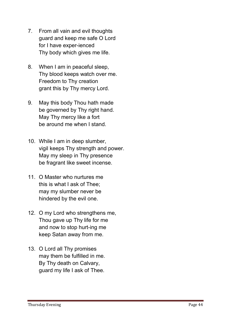- **7. From all vain and evil thoughts guard and keep me safe O Lord for I have exper-ienced Thy body which gives me life.**
- **8. When I am in peaceful sleep, Thy blood keeps watch over me. Freedom to Thy creation grant this by Thy mercy Lord.**
- **9. May this body Thou hath made be governed by Thy right hand. May Thy mercy like a fort be around me when I stand.**
- **10. While I am in deep slumber, vigil keeps Thy strength and power. May my sleep in Thy presence be fragrant like sweet incense.**
- **11. O Master who nurtures me this is what I ask of Thee; may my slumber never be hindered by the evil one.**
- **12. O my Lord who strengthens me, Thou gave up Thy life for me and now to stop hurt-ing me keep Satan away from me.**
- **13. O Lord all Thy promises may them be fulfilled in me. By Thy death on Calvary, guard my life I ask of Thee.**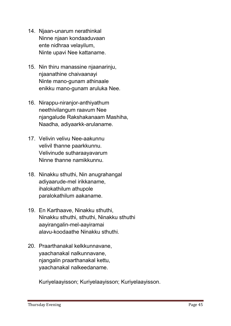- **14. Njaan-unarum nerathinkal Ninne njaan kondaaduvaan ente nidhraa velayilum, Ninte upavi Nee kattaname.**
- **15. Nin thiru manassine njaanarinju, njaanathine chaivaanayi Ninte mano-gunam athinaale enikku mano-gunam aruluka Nee.**
- **16. Nirappu-niranjor-anthiyathum neethivilangum raavum Nee njangalude Rakshakanaam Mashiha, Naadha, adiyaarkk-arulaname.**
- **17. Velivin velivu Nee-aakunnu velivil thanne paarkkunnu. Velivinude sutharaayavarum Ninne thanne namikkunnu.**
- **18. Ninakku sthuthi, Nin anugrahangal adiyaarude-mel irikkaname, ihalokathilum athupole paralokathilum aakaname.**
- **19. En Karthaave, Ninakku sthuthi, Ninakku sthuthi, sthuthi, Ninakku sthuthi aayirangalin-mel-aayiramai alavu-koodaathe Ninakku sthuthi.**
- **20. Praarthanakal kelkkunnavane, yaachanakal nalkunnavane, njangalin praarthanakal kettu, yaachanakal nalkeedaname.**

**Kuriyelaayisson; Kuriyelaayisson; Kuriyelaayisson.**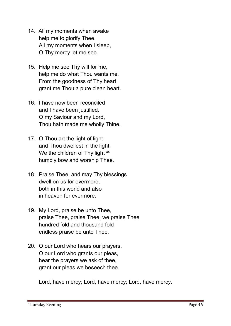- **14. All my moments when awake help me to glorify Thee. All my moments when I sleep, O Thy mercy let me see.**
- **15. Help me see Thy will for me, help me do what Thou wants me. From the goodness of Thy heart grant me Thou a pure clean heart.**
- **16. I have now been reconciled and I have been justified. O my Saviour and my Lord, Thou hath made me wholly Thine.**
- **17. O Thou art the light of light and Thou dwellest in the light.** We the children of Thy light  $\frac{xx}{x}$ **humbly bow and worship Thee.**
- **18. Praise Thee, and may Thy blessings dwell on us for evermore, both in this world and also in heaven for evermore.**
- **19. My Lord, praise be unto Thee, praise Thee, praise Thee, we praise Thee hundred fold and thousand fold endless praise be unto Thee.**
- **20. O our Lord who hears our prayers, O our Lord who grants our pleas, hear the prayers we ask of thee, grant our pleas we beseech thee.**

**Lord, have mercy; Lord, have mercy; Lord, have mercy.**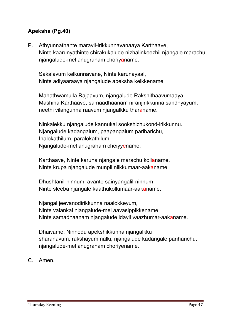# Apeksha (Pg.40)

**P. Athyunnathante maravil-irikkunnavanaaya Karthaave, Ninte kaarunyathinte chirakukalude nizhalinkeezhil njangale marachu, njangalude-mel anugraham choriyaname.**

 **Sakalavum kelkunnavane, Ninte karunayaal, Ninte adiyaaraaya njangalude apeksha kelkkename.**

 **Mahathwamulla Rajaavum, njangalude Rakshithaavumaaya Mashiha Karthaave, samaadhaanam niranjirikkunna sandhyayum, neethi vilangunna raavum njangalkku tharaname.**

 **Ninkalekku njangalude kannukal sookshichukond-irikkunnu. Njangalude kadangalum, paapangalum pariharichu, Ihalokathilum, paralokathilum, Njangalude-mel anugraham cheiyyename.**

 **Karthaave, Ninte karuna njangale marachu kollaname. Ninte krupa njangalude munpil nilkkumaar-aakaname.**

 **Dhushtanil-ninnum, avante sainyangalil-ninnum Ninte sleeba njangale kaathukollumaar-aakaname.**

 **Njangal jeevanodirikkunna naalokkeyum, Ninte valankai njangalude-mel aavasippikkename. Ninte samadhaanam njangalude idayil vaazhumar-aakaname.**

 **Dhaivame, Ninnodu apekshikkunna njangalkku sharanavum, rakshayum nalki, njangalude kadangale pariharichu, njangalude-mel anugraham choriyename.** 

**C. Amen.**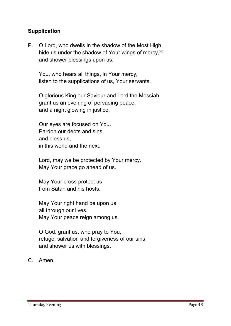## **Supplication**

**P. O Lord, who dwells in the shadow of the Most High, hide us under the shadow of Your wings of mercy, xxi and shower blessings upon us.**

 **You, who hears all things, in Your mercy, listen to the supplications of us, Your servants.**

 **O glorious King our Saviour and Lord the Messiah, grant us an evening of pervading peace, and a night glowing in justice.**

 **Our eyes are focused on You. Pardon our debts and sins, and bless us, in this world and the next.**

 **Lord, may we be protected by Your mercy. May Your grace go ahead of us.**

 **May Your cross protect us from Satan and his hosts.**

 **May Your right hand be upon us all through our lives. May Your peace reign among us.**

 **O God, grant us, who pray to You, refuge, salvation and forgiveness of our sins and shower us with blessings.** 

**C. Amen.**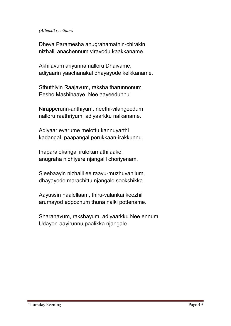#### *(Allenkil geetham)*

**Dheva Paramesha anugrahamathin-chirakin nizhalil anachennum viravodu kaakkaname.**

**Akhilavum ariyunna nalloru Dhaivame, adiyaarin yaachanakal dhayayode kelkkaname.**

**Sthuthiyin Raajavum, raksha tharunnonum Eesho Mashihaaye, Nee aayeedunnu.**

**Nirapperunn-anthiyum, neethi-vilangeedum nalloru raathriyum, adiyaarkku nalkaname.**

**Adiyaar evarume melottu kannuyarthi kadangal, paapangal porukkaan-irakkunnu.**

**Ihaparalokangal irulokamathilaake, anugraha nidhiyere njangalil choriyenam.**

**Sleebaayin nizhalil ee raavu-muzhuvanilum, dhayayode marachittu njangale sookshikka.**

**Aayussin naalellaam, thiru-valankai keezhil arumayod eppozhum thuna nalki pottename.**

**Sharanavum, rakshayum, adiyaarkku Nee ennum Udayon-aayirunnu paalikka njangale.**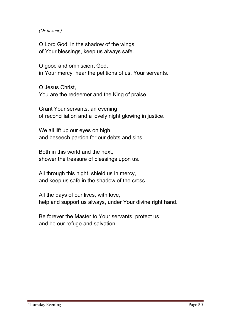#### *(Or in song)*

**O Lord God, in the shadow of the wings of Your blessings, keep us always safe.**

**O good and omniscient God, in Your mercy, hear the petitions of us, Your servants.**

**O Jesus Christ, You are the redeemer and the King of praise.**

**Grant Your servants, an evening of reconciliation and a lovely night glowing in justice.**

**We all lift up our eyes on high and beseech pardon for our debts and sins.**

**Both in this world and the next, shower the treasure of blessings upon us.**

**All through this night, shield us in mercy, and keep us safe in the shadow of the cross.**

**All the days of our lives, with love, help and support us always, under Your divine right hand.**

**Be forever the Master to Your servants, protect us and be our refuge and salvation.**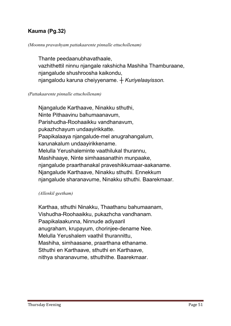# Kauma (Pg.32)

#### *(Moonnu pravashyam pattakaarente pinnalle ettuchollenam)*

**Thante peedaanubhavathaale, vazhithettil ninnu njangale rakshicha Mashiha Thamburaane, njangalude shushroosha kaikondu, njangalodu karuna cheiyyename.** *┼ Kuriyelaayisson.*

#### *(Pattakaarente pinnalle ettuchollenam)*

**Njangalude Karthaave, Ninakku sthuthi, Ninte Pithaavinu bahumaanavum, Parishudha-Roohaaikku vandhanavum, pukazhchayum undaayirikkatte. Paapikalaaya njangalude-mel anugrahangalum, karunakalum undaayirikkename. Melulla Yerushaleminte vaathilukal thurannu, Mashihaaye, Ninte simhaasanathin munpaake, njangalude praarthanakal praveshikkumaar-aakaname. Njangalude Karthaave, Ninakku sthuthi. Ennekkum njangalude sharanavume, Ninakku sthuthi. Baarekmaar.** 

#### *(Allenkil geetham)*

**Karthaa, sthuthi Ninakku, Thaathanu bahumaanam, Vishudha-Roohaaikku, pukazhcha vandhanam. Paapikalaakunna, Ninnude adiyaaril anugraham, krupayum, chorinjee-dename Nee. Melulla Yerushalem vaathil thurannittu, Mashiha, simhaasane, praarthana ethaname. Sthuthi en Karthaave, sthuthi en Karthaave, nithya sharanavume, sthuthithe. Baarekmaar.**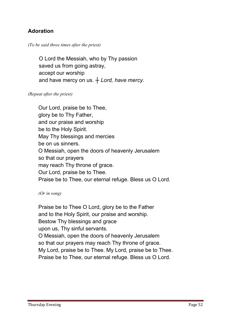# Adoration

## *(To be said three times after the priest)*

 **O Lord the Messiah, who by Thy passion saved us from going astray, accept our worship and have mercy on us.** *┼ Lord, have mercy.*

#### *(Repeat after the priest)*

**Our Lord, praise be to Thee, glory be to Thy Father, and our praise and worship be to the Holy Spirit. May Thy blessings and mercies be on us sinners. O Messiah, open the doors of heavenly Jerusalem so that our prayers may reach Thy throne of grace. Our Lord, praise be to Thee. Praise be to Thee, our eternal refuge. Bless us O Lord.**

#### *(Or in song)*

**Praise be to Thee O Lord, glory be to the Father and to the Holy Spirit, our praise and worship. Bestow Thy blessings and grace upon us, Thy sinful servants. O Messiah, open the doors of heavenly Jerusalem so that our prayers may reach Thy throne of grace. My Lord, praise be to Thee. My Lord, praise be to Thee. Praise be to Thee, our eternal refuge. Bless us O Lord.**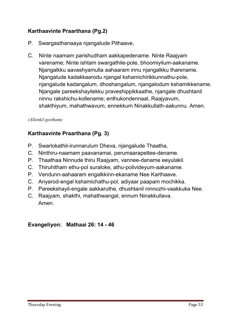# Karthaavinte Praarthana (Pg.2)

- **P. Swargasthanaaya njangalude Pithaave,**
- **C. Ninte naamam parishudham aakkapedename. Ninte Raajyam varename; Ninte ishtam swargathile-pole, bhoomiyilum-aakaname. Njangalkku aavashyamulla aahaaram innu njangalkku tharename. Njangalude kadakkaarodu njangal kshamichirikkunnathu-pole, njangalude kadangalum, dhoshangalum, njangalodum kshamikkename. Njangale pareekshayilekku praveshippikkaathe, njangale dhushtanil ninnu rakshichu-kollename; enthukondennaal, Raajyavum, shakthiyum, mahathwavum, ennekkum Ninakkullath-aakunnu. Amen.**

## *(Allenkil geetham)*

# Karthaavinte Praarthana (Pg. 3)

- **P. Swarlokathil-irunnarulum Dheva, njangalude Thaatha,**
- **C. Ninthiru-naamam paavanamai, perumaarapettee-dename.**
- **P. Thaathaa Ninnude thiru Raajyam, vannee-daname eeyulakil.**
- **C. Thiruhitham ethu-pol suraloke, athu-polivideyum-aakaname.**
- **P. Vendunn-aahaaram engalkkinn-ekaname Nee Karthaave.**
- **C. Anyarod-engal kshamichathu-pol, adiyaar paapam mochikka.**
- **P. Pareekshayil-engale aakkaruthe, dhushtanil ninnozhi-vaakkuka Nee.**
- **C. Raajyam, shakthi, mahathwangal, ennum Ninakkullava. Amen.**

## Evangeliyon: Mathaai 26: 14 - 46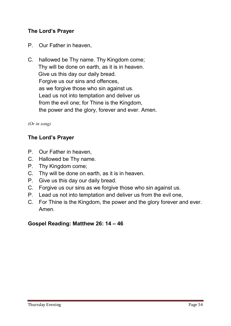# The Lord's Prayer

- **P. Our Father in heaven,**
- **C. hallowed be Thy name. Thy Kingdom come; Thy will be done on earth, as it is in heaven. Give us this day our daily bread. Forgive us our sins and offences, as we forgive those who sin against us. Lead us not into temptation and deliver us from the evil one; for Thine is the Kingdom, the power and the glory, forever and ever. Amen.**

## *(Or in song)*

## The Lord's Prayer

- **P. Our Father in heaven,**
- **C. Hallowed be Thy name.**
- **P. Thy Kingdom come;**
- **C. Thy will be done on earth, as it is in heaven.**
- **P. Give us this day our daily bread.**
- **C. Forgive us our sins as we forgive those who sin against us.**
- **P. Lead us not into temptation and deliver us from the evil one,**
- **C. For Thine is the Kingdom, the power and the glory forever and ever. Amen.**

## Gospel Reading: Matthew 26: 14 – 46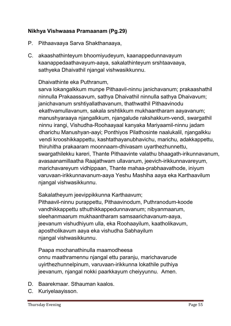# Nikhya Vishwaasa Pramaanam (Pg.29)

- **P. Pithaavaaya Sarva Shakthanaaya,**
- **C. akaashathinteyum bhoomiyudeyum, kaanappedunnavayum kaanappedaathavayum-aaya, sakalathinteyum srshtaavaaya, sathyeka Dhaivathil njangal vishwasikkunnu.**

## **Dhaivathinte eka Puthranum,**

**sarva lokangalkkum munpe Pithaavil-ninnu janichavanum; prakaashathil ninnulla Prakaassavum, sathya Dhaivathil ninnulla sathya Dhaivavum; janichavanum srshtiyallathavanum, thathwathil Pithaavinodu ekathvamullavanum, sakala srshtikkum mukhaantharam aayavanum; manushyaraaya njangalkkum, njangalude rakshakkum-vendi, swargathil ninnu irangi, Vishudha-Roohaayaal kanyaka Mariyaamil-ninnu jadam dharichu Manushyan-aayi; Ponthiyos Pilathosinte naalukalil, njangalkku vendi krooshikkappettu, kashtathayanubhavichu, marichu, adakkappettu, thiruhitha prakaaram moonnaam-dhivasam uyarthezhunnettu, swargathilekku kareri, Thante Pithaavinte valathu bhaagath-irikunnavanum, avasaanamillaatha Raajathwam ullavanum, jeevich-irikkunnavareyum, marichavareyum vidhippaan, Thante mahaa-prabhaavathode, iniyum varuvaan-irikkunnavanum-aaya Yeshu Mashiha aaya eka Karthaavilum njangal vishwasikkunnu.**

**Sakalatheyum jeevippikkunna Karthaavum;**

**Pithaavil-ninnu purappettu, Pithaavinodum, Puthranodum-koode vandhikkappettu sthuthikkappedunnavanum; nibyanmaarum, sleehanmaarum mukhaantharam samsaarichavanum-aaya, jeevanum vishudhiyum ulla, eka Roohaayilum, kaatholikavum, apostholikavum aaya eka vishudha Sabhayilum njangal vishwasikkunnu.**

**Paapa mochanathinulla maamodheesa onnu maathramennu njangal ettu paranju, marichavarude uyirthezhunnelpinum, varuvaan-irikkunna lokathile puthiya jeevanum, njangal nokki paarkkayum cheiyyunnu. Amen.**

- **D. Baarekmaar. Sthauman kaalos.**
- **C. Kuriyelaayisson.**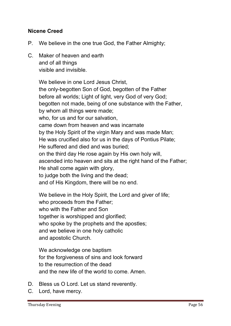## Nicene Creed

- **P. We believe in the one true God, the Father Almighty;**
- **C. Maker of heaven and earth and of all things visible and invisible.**

**We believe in one Lord Jesus Christ, the only-begotten Son of God, begotten of the Father before all worlds; Light of light, very God of very God; begotten not made, being of one substance with the Father, by whom all things were made; who, for us and for our salvation, came down from heaven and was incarnate by the Holy Spirit of the virgin Mary and was made Man; He was crucified also for us in the days of Pontius Pilate; He suffered and died and was buried; on the third day He rose again by His own holy will, ascended into heaven and sits at the right hand of the Father; He shall come again with glory, to judge both the living and the dead; and of His Kingdom, there will be no end.** 

**We believe in the Holy Spirit, the Lord and giver of life; who proceeds from the Father; who with the Father and Son together is worshipped and glorified; who spoke by the prophets and the apostles; and we believe in one holy catholic and apostolic Church.**

**We acknowledge one baptism for the forgiveness of sins and look forward to the resurrection of the dead and the new life of the world to come. Amen.** 

- **D. Bless us O Lord. Let us stand reverently.**
- **C. Lord, have mercy.**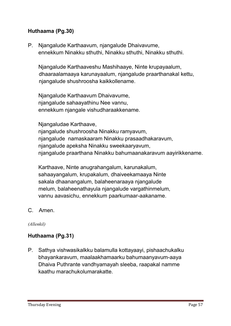# Huthaama (Pg.30)

**P. Njangalude Karthaavum, njangalude Dhaivavume, ennekkum Ninakku sthuthi, Ninakku sthuthi, Ninakku sthuthi.**

**Njangalude Karthaaveshu Mashihaaye, Ninte krupayaalum, dhaaraalamaaya karunayaalum, njangalude praarthanakal kettu, njangalude shushroosha kaikkollename.**

**Njangalude Karthaavum Dhaivavume, njangalude sahaayathinu Nee vannu, ennekkum njangale vishudharaakkename.** 

**Njangaludae Karthaave,** 

**njangalude shushroosha Ninakku ramyavum, njangalude namaskaaram Ninakku prasaadhakaravum, njangalude apeksha Ninakku sweekaaryavum, njangalude praarthana Ninakku bahumaanakaravum aayirikkename.** 

**Karthaave, Ninte anugrahangalum, karunakalum, sahaayangalum, krupakalum, dhaiveekamaaya Ninte sakala dhaanangalum, balaheenaraaya njangalude melum, balaheenathayula njangalude vargathinmelum, vannu aavasichu, ennekkum paarkumaar-aakaname.**

**C. Amen.**

*(Allenkil)*

## Huthaama (Pg.31)

**P. Sathya vishwasikalkku balamulla kottayaayi, pishaachukalku bhayankaravum, maalaakhamaarku bahumaanyavum-aaya Dhaiva Puthrante vandhyamayah sleeba, raapakal namme kaathu marachukolumarakatte.**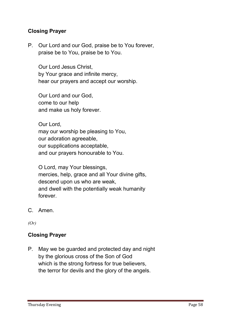## Closing Prayer

**P. Our Lord and our God, praise be to You forever, praise be to You, praise be to You.**

**Our Lord Jesus Christ, by Your grace and infinite mercy, hear our prayers and accept our worship.** 

**Our Lord and our God, come to our help and make us holy forever.** 

**Our Lord, may our worship be pleasing to You, our adoration agreeable, our supplications acceptable, and our prayers honourable to You.** 

**O Lord, may Your blessings, mercies, help, grace and all Your divine gifts, descend upon us who are weak, and dwell with the potentially weak humanity forever.**

**C. Amen.**

*(Or)*

## Closing Prayer

**P. May we be guarded and protected day and night by the glorious cross of the Son of God which is the strong fortress for true believers, the terror for devils and the glory of the angels.**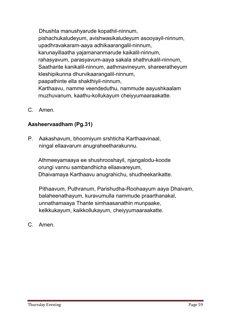**Dhushta manushyarude kopathil-ninnum, pishachukaludeyum, avishwasikaludeyum asooyayil-ninnum, upadhravakaram-aaya adhikaarangalil-ninnum, karunayillaatha yajamananmarude kaikalil-ninnum, rahasyavum, parasyavum-aaya sakala shathrukalil-ninnum, Saathante kanikalil-ninnum, aathmavineyum, shareeratheyum kleshipikunna dhurvikaarangalil-ninnum, paapathinte ella shakthiyil-ninnum, Karthaavu, namme veendeduthu, nammude aayushkaalam muzhuvanum, kaathu-kollukayum cheiyyumaaraakatte.**

**C. Amen.**

# Aasheervaadham (Pg.31)

**P. Aakashavum, bhoomiyum srshticha Karthaavinaal, ningal ellaavarum anugraheetharakunnu.**

**Athmeeyamaaya ee shushrooshayil, njangalodu-koode orungi vannu sambandhicha ellaavareyum, Dhaivamaya Karthaavu anugrahichu, shudheekarikatte.**

**Pithaavum, Puthranum, Parishudha-Roohaayum aaya Dhaivam, balaheenathayum, kuravumulla nammude praarthanakal, unnathamaaya Thante simhaasanathin munpaake, kelkkukayum, kaikkollukayum, cheiyyumaaraakatte.**

**C. Amen.**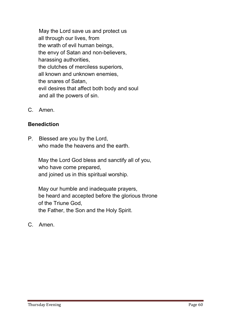**May the Lord save us and protect us all through our lives, from the wrath of evil human beings, the envy of Satan and non-believers, harassing authorities, the clutches of merciless superiors, all known and unknown enemies, the snares of Satan, evil desires that affect both body and soul and all the powers of sin.**

**C. Amen.**

## Benediction

**P. Blessed are you by the Lord, who made the heavens and the earth.** 

**May the Lord God bless and sanctify all of you, who have come prepared, and joined us in this spiritual worship.** 

**May our humble and inadequate prayers, be heard and accepted before the glorious throne of the Triune God, the Father, the Son and the Holy Spirit.**

**C. Amen.**